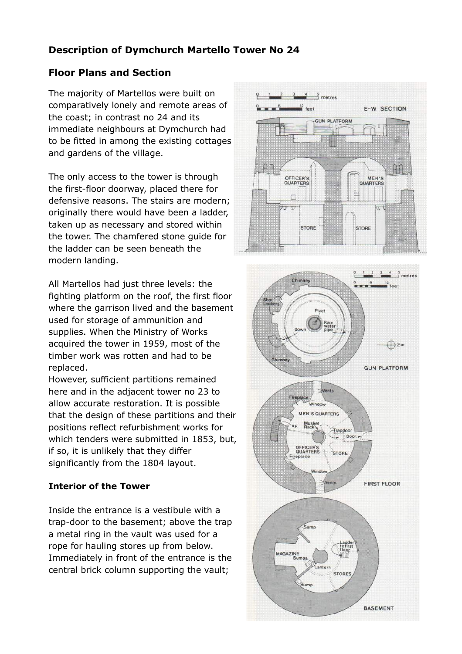## **Description of Dymchurch Martello Tower No 24**

## **Floor Plans and Section**

The majority of Martellos were built on comparatively lonely and remote areas of the coast; in contrast no 24 and its immediate neighbours at Dymchurch had to be fitted in among the existing cottages and gardens of the village.

The only access to the tower is through the first-floor doorway, placed there for defensive reasons. The stairs are modern; originally there would have been a ladder, taken up as necessary and stored within the tower. The chamfered stone guide for the ladder can be seen beneath the modern landing.

All Martellos had just three levels: the fighting platform on the roof, the first floor where the garrison lived and the basement used for storage of ammunition and supplies. When the Ministry of Works acquired the tower in 1959, most of the timber work was rotten and had to be replaced.

However, sufficient partitions remained here and in the adjacent tower no 23 to allow accurate restoration. It is possible that the design of these partitions and their positions reflect refurbishment works for which tenders were submitted in 1853, but, if so, it is unlikely that they differ significantly from the 1804 layout.

## **Interior of the Tower**

Inside the entrance is a vestibule with a trap-door to the basement; above the trap a metal ring in the vault was used for a rope for hauling stores up from below. Immediately in front of the entrance is the central brick column supporting the vault;



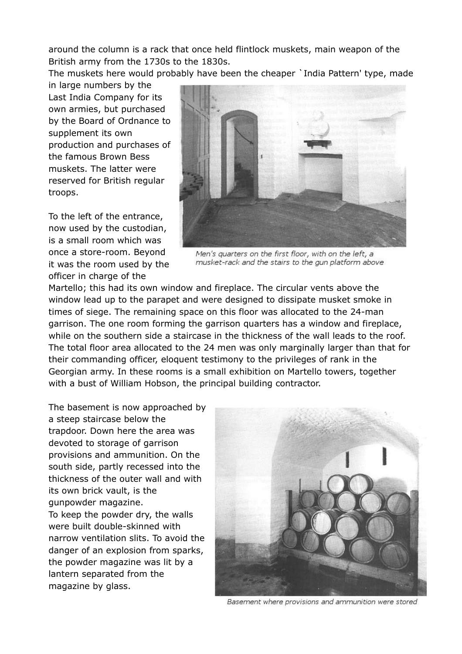around the column is a rack that once held flintlock muskets, main weapon of the British army from the 1730s to the 1830s.

The muskets here would probably have been the cheaper `India Pattern' type, made

in large numbers by the Last India Company for its own armies, but purchased by the Board of Ordnance to supplement its own production and purchases of the famous Brown Bess muskets. The latter were reserved for British regular troops.

To the left of the entrance, now used by the custodian, is a small room which was once a store-room. Beyond it was the room used by the officer in charge of the



Men's quarters on the first floor, with on the left, a musket-rack and the stairs to the gun platform above

Martello; this had its own window and fireplace. The circular vents above the window lead up to the parapet and were designed to dissipate musket smoke in times of siege. The remaining space on this floor was allocated to the 24-man garrison. The one room forming the garrison quarters has a window and fireplace, while on the southern side a staircase in the thickness of the wall leads to the roof. The total floor area allocated to the 24 men was only marginally larger than that for their commanding officer, eloquent testimony to the privileges of rank in the Georgian army. In these rooms is a small exhibition on Martello towers, together with a bust of William Hobson, the principal building contractor.

The basement is now approached by a steep staircase below the trapdoor. Down here the area was devoted to storage of garrison provisions and ammunition. On the south side, partly recessed into the thickness of the outer wall and with its own brick vault, is the gunpowder magazine. To keep the powder dry, the walls were built double-skinned with narrow ventilation slits. To avoid the danger of an explosion from sparks, the powder magazine was lit by a lantern separated from the magazine by glass.



Basement where provisions and ammunition were stored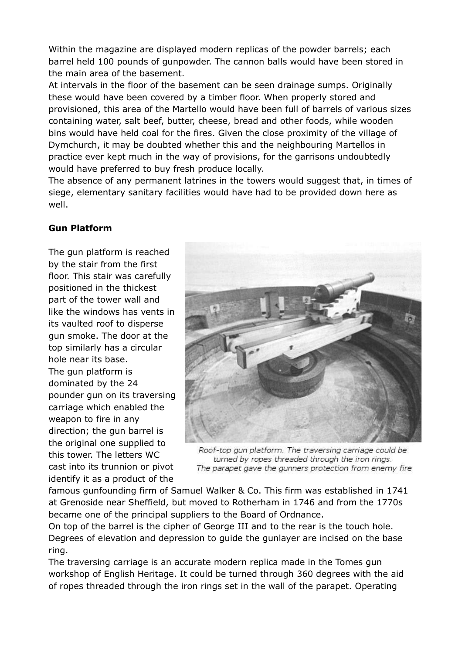Within the magazine are displayed modern replicas of the powder barrels; each barrel held 100 pounds of gunpowder. The cannon balls would have been stored in the main area of the basement.

At intervals in the floor of the basement can be seen drainage sumps. Originally these would have been covered by a timber floor. When properly stored and provisioned, this area of the Martello would have been full of barrels of various sizes containing water, salt beef, butter, cheese, bread and other foods, while wooden bins would have held coal for the fires. Given the close proximity of the village of Dymchurch, it may be doubted whether this and the neighbouring Martellos in practice ever kept much in the way of provisions, for the garrisons undoubtedly would have preferred to buy fresh produce locally.

The absence of any permanent latrines in the towers would suggest that, in times of siege, elementary sanitary facilities would have had to be provided down here as well.

## **Gun Platform**

The gun platform is reached by the stair from the first floor. This stair was carefully positioned in the thickest part of the tower wall and like the windows has vents in its vaulted roof to disperse gun smoke. The door at the top similarly has a circular hole near its base. The gun platform is dominated by the 24 pounder gun on its traversing carriage which enabled the weapon to fire in any direction; the gun barrel is the original one supplied to this tower. The letters WC cast into its trunnion or pivot identify it as a product of the



Roof-top gun platform. The traversing carriage could be turned by ropes threaded through the iron rings. The parapet gave the gunners protection from enemy fire

famous gunfounding firm of Samuel Walker & Co. This firm was established in 1741 at Grenoside near Sheffield, but moved to Rotherham in 1746 and from the 1770s became one of the principal suppliers to the Board of Ordnance.

On top of the barrel is the cipher of George III and to the rear is the touch hole. Degrees of elevation and depression to guide the gunlayer are incised on the base ring.

The traversing carriage is an accurate modern replica made in the Tomes gun workshop of English Heritage. It could be turned through 360 degrees with the aid of ropes threaded through the iron rings set in the wall of the parapet. Operating